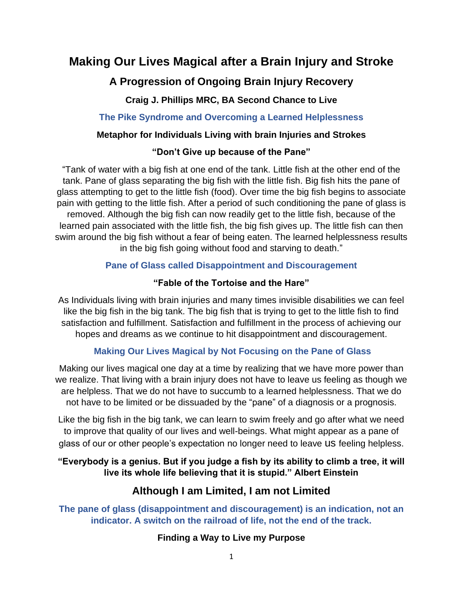# **Making Our Lives Magical after a Brain Injury and Stroke**

# **A Progression of Ongoing Brain Injury Recovery**

**Craig J. Phillips MRC, BA Second Chance to Live**

**The Pike Syndrome and Overcoming a Learned Helplessness** 

### **Metaphor for Individuals Living with brain Injuries and Strokes**

### **"Don't Give up because of the Pane"**

"Tank of water with a big fish at one end of the tank. Little fish at the other end of the tank. Pane of glass separating the big fish with the little fish. Big fish hits the pane of glass attempting to get to the little fish (food). Over time the big fish begins to associate pain with getting to the little fish. After a period of such conditioning the pane of glass is removed. Although the big fish can now readily get to the little fish, because of the learned pain associated with the little fish, the big fish gives up. The little fish can then swim around the big fish without a fear of being eaten. The learned helplessness results in the big fish going without food and starving to death."

### **Pane of Glass called Disappointment and Discouragement**

### **"Fable of the Tortoise and the Hare"**

As Individuals living with brain injuries and many times invisible disabilities we can feel like the big fish in the big tank. The big fish that is trying to get to the little fish to find satisfaction and fulfillment. Satisfaction and fulfillment in the process of achieving our hopes and dreams as we continue to hit disappointment and discouragement.

### **Making Our Lives Magical by Not Focusing on the Pane of Glass**

Making our lives magical one day at a time by realizing that we have more power than we realize. That living with a brain injury does not have to leave us feeling as though we are helpless. That we do not have to succumb to a learned helplessness. That we do not have to be limited or be dissuaded by the "pane" of a diagnosis or a prognosis.

Like the big fish in the big tank, we can learn to swim freely and go after what we need to improve that quality of our lives and well-beings. What might appear as a pane of glass of our or other people's expectation no longer need to leave us feeling helpless.

### **"Everybody is a genius. But if you judge a fish by its ability to climb a tree, it will live its whole life believing that it is stupid." Albert Einstein**

## **Although I am Limited, I am not Limited**

**The pane of glass (disappointment and discouragement) is an indication, not an indicator. A switch on the railroad of life, not the end of the track.**

### **Finding a Way to Live my Purpose**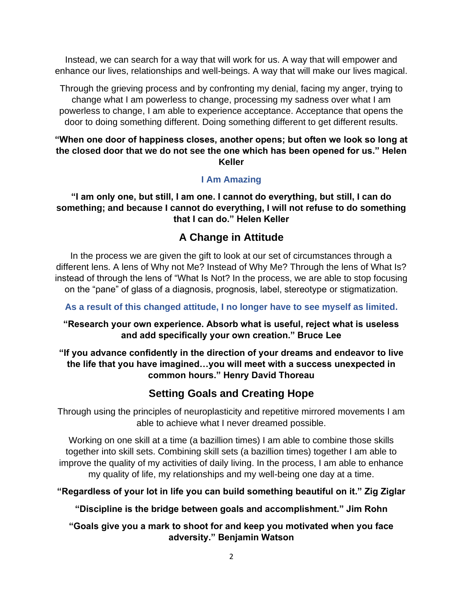Instead, we can search for a way that will work for us. A way that will empower and enhance our lives, relationships and well-beings. A way that will make our lives magical.

Through the grieving process and by confronting my denial, facing my anger, trying to change what I am powerless to change, processing my sadness over what I am powerless to change, I am able to experience acceptance. Acceptance that opens the door to doing something different. Doing something different to get different results.

#### **"When one door of happiness closes, another opens; but often we look so long at the closed door that we do not see the one which has been opened for us." Helen Keller**

### **I Am Amazing**

**"I am only one, but still, I am one. I cannot do everything, but still, I can do something; and because I cannot do everything, I will not refuse to do something that I can do." Helen Keller**

### **A Change in Attitude**

In the process we are given the gift to look at our set of circumstances through a different lens. A lens of Why not Me? Instead of Why Me? Through the lens of What Is? instead of through the lens of "What Is Not? In the process, we are able to stop focusing on the "pane" of glass of a diagnosis, prognosis, label, stereotype or stigmatization.

**As a result of this changed attitude, I no longer have to see myself as limited.**

### **"Research your own experience. Absorb what is useful, reject what is useless and add specifically your own creation." Bruce Lee**

### **"If you advance confidently in the direction of your dreams and endeavor to live the life that you have imagined…you will meet with a success unexpected in common hours." Henry David Thoreau**

## **Setting Goals and Creating Hope**

Through using the principles of neuroplasticity and repetitive mirrored movements I am able to achieve what I never dreamed possible.

Working on one skill at a time (a bazillion times) I am able to combine those skills together into skill sets. Combining skill sets (a bazillion times) together I am able to improve the quality of my activities of daily living. In the process, I am able to enhance my quality of life, my relationships and my well-being one day at a time.

#### **"Regardless of your lot in life you can build something beautiful on it." Zig Ziglar**

**"Discipline is the bridge between goals and accomplishment." Jim Rohn** 

#### **"Goals give you a mark to shoot for and keep you motivated when you face adversity." Benjamin Watson**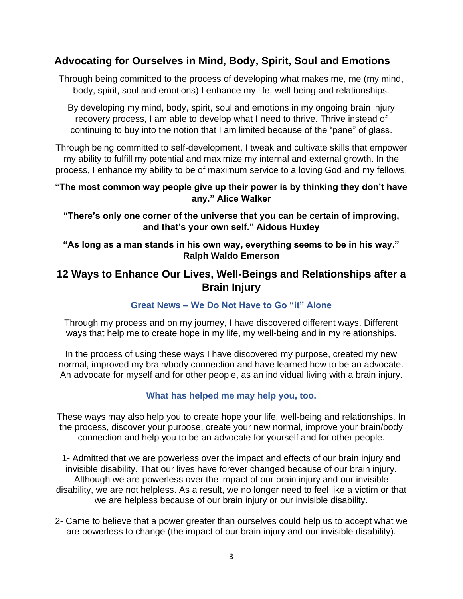### **Advocating for Ourselves in Mind, Body, Spirit, Soul and Emotions**

Through being committed to the process of developing what makes me, me (my mind, body, spirit, soul and emotions) I enhance my life, well-being and relationships.

By developing my mind, body, spirit, soul and emotions in my ongoing brain injury recovery process, I am able to develop what I need to thrive. Thrive instead of continuing to buy into the notion that I am limited because of the "pane" of glass.

Through being committed to self-development, I tweak and cultivate skills that empower my ability to fulfill my potential and maximize my internal and external growth. In the process, I enhance my ability to be of maximum service to a loving God and my fellows.

#### **"The most common way people give up their power is by thinking they don't have any." Alice Walker**

**"There's only one corner of the universe that you can be certain of improving, and that's your own self." Aidous Huxley**

**"As long as a man stands in his own way, everything seems to be in his way." Ralph Waldo Emerson**

### **12 Ways to Enhance Our Lives, Well-Beings and Relationships after a Brain Injury**

### **Great News – We Do Not Have to Go "it" Alone**

Through my process and on my journey, I have discovered different ways. Different ways that help me to create hope in my life, my well-being and in my relationships.

In the process of using these ways I have discovered my purpose, created my new normal, improved my brain/body connection and have learned how to be an advocate. An advocate for myself and for other people, as an individual living with a brain injury.

### **What has helped me may help you, too.**

These ways may also help you to create hope your life, well-being and relationships. In the process, discover your purpose, create your new normal, improve your brain/body connection and help you to be an advocate for yourself and for other people.

1- Admitted that we are powerless over the impact and effects of our brain injury and invisible disability. That our lives have forever changed because of our brain injury. Although we are powerless over the impact of our brain injury and our invisible disability, we are not helpless. As a result, we no longer need to feel like a victim or that we are helpless because of our brain injury or our invisible disability.

2- Came to believe that a power greater than ourselves could help us to accept what we are powerless to change (the impact of our brain injury and our invisible disability).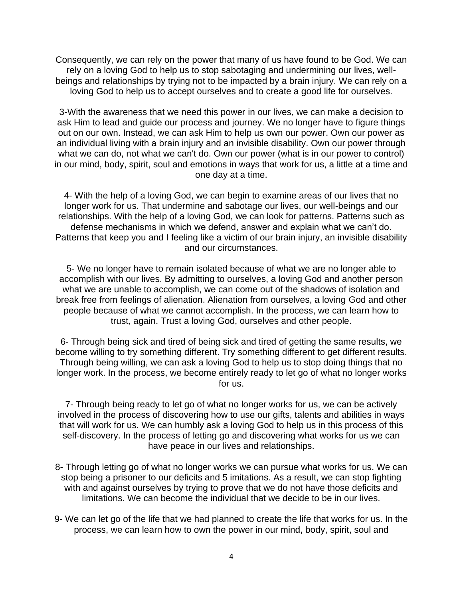Consequently, we can rely on the power that many of us have found to be God. We can rely on a loving God to help us to stop sabotaging and undermining our lives, wellbeings and relationships by trying not to be impacted by a brain injury. We can rely on a loving God to help us to accept ourselves and to create a good life for ourselves.

3-With the awareness that we need this power in our lives, we can make a decision to ask Him to lead and guide our process and journey. We no longer have to figure things out on our own. Instead, we can ask Him to help us own our power. Own our power as an individual living with a brain injury and an invisible disability. Own our power through what we can do, not what we can't do. Own our power (what is in our power to control) in our mind, body, spirit, soul and emotions in ways that work for us, a little at a time and one day at a time.

4- With the help of a loving God, we can begin to examine areas of our lives that no longer work for us. That undermine and sabotage our lives, our well-beings and our relationships. With the help of a loving God, we can look for patterns. Patterns such as defense mechanisms in which we defend, answer and explain what we can't do. Patterns that keep you and I feeling like a victim of our brain injury, an invisible disability and our circumstances.

5- We no longer have to remain isolated because of what we are no longer able to accomplish with our lives. By admitting to ourselves, a loving God and another person what we are unable to accomplish, we can come out of the shadows of isolation and break free from feelings of alienation. Alienation from ourselves, a loving God and other people because of what we cannot accomplish. In the process, we can learn how to trust, again. Trust a loving God, ourselves and other people.

6- Through being sick and tired of being sick and tired of getting the same results, we become willing to try something different. Try something different to get different results. Through being willing, we can ask a loving God to help us to stop doing things that no longer work. In the process, we become entirely ready to let go of what no longer works for us.

7- Through being ready to let go of what no longer works for us, we can be actively involved in the process of discovering how to use our gifts, talents and abilities in ways that will work for us. We can humbly ask a loving God to help us in this process of this self-discovery. In the process of letting go and discovering what works for us we can have peace in our lives and relationships.

- 8- Through letting go of what no longer works we can pursue what works for us. We can stop being a prisoner to our deficits and 5 imitations. As a result, we can stop fighting with and against ourselves by trying to prove that we do not have those deficits and limitations. We can become the individual that we decide to be in our lives.
- 9- We can let go of the life that we had planned to create the life that works for us. In the process, we can learn how to own the power in our mind, body, spirit, soul and